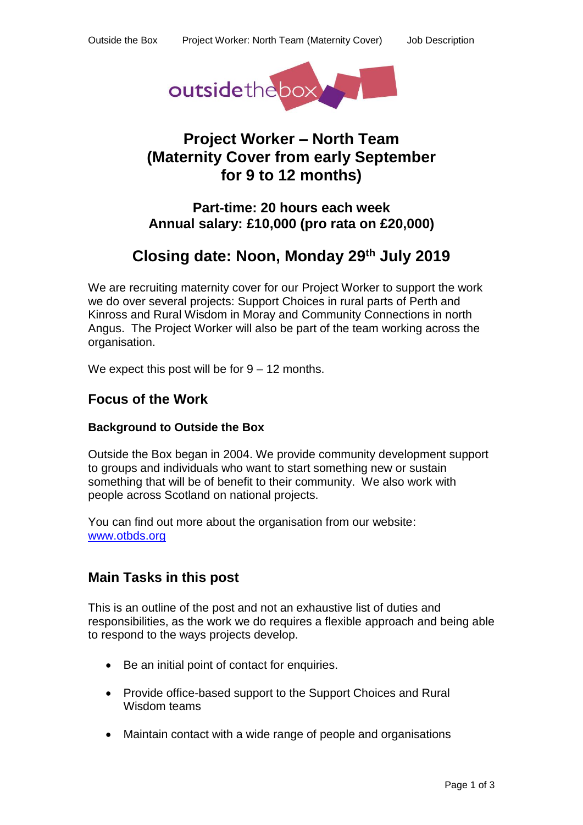

# **Project Worker – North Team (Maternity Cover from early September for 9 to 12 months)**

## **Part-time: 20 hours each week Annual salary: £10,000 (pro rata on £20,000)**

# **Closing date: Noon, Monday 29th July 2019**

We are recruiting maternity cover for our Project Worker to support the work we do over several projects: Support Choices in rural parts of Perth and Kinross and Rural Wisdom in Moray and Community Connections in north Angus. The Project Worker will also be part of the team working across the organisation.

We expect this post will be for  $9 - 12$  months.

## **Focus of the Work**

### **Background to Outside the Box**

Outside the Box began in 2004. We provide community development support to groups and individuals who want to start something new or sustain something that will be of benefit to their community. We also work with people across Scotland on national projects.

You can find out more about the organisation from our website: [www.otbds.org](http://www.otbds.org/)

## **Main Tasks in this post**

This is an outline of the post and not an exhaustive list of duties and responsibilities, as the work we do requires a flexible approach and being able to respond to the ways projects develop.

- Be an initial point of contact for enquiries.
- Provide office-based support to the Support Choices and Rural Wisdom teams
- Maintain contact with a wide range of people and organisations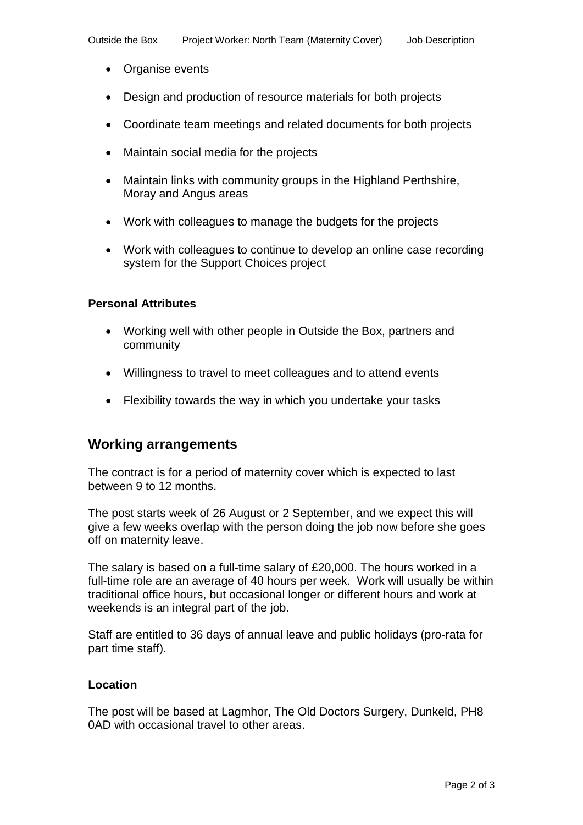- Organise events
- Design and production of resource materials for both projects
- Coordinate team meetings and related documents for both projects
- Maintain social media for the projects
- Maintain links with community groups in the Highland Perthshire, Moray and Angus areas
- Work with colleagues to manage the budgets for the projects
- Work with colleagues to continue to develop an online case recording system for the Support Choices project

#### **Personal Attributes**

- Working well with other people in Outside the Box, partners and community
- Willingness to travel to meet colleagues and to attend events
- Flexibility towards the way in which you undertake your tasks

## **Working arrangements**

The contract is for a period of maternity cover which is expected to last between 9 to 12 months.

The post starts week of 26 August or 2 September, and we expect this will give a few weeks overlap with the person doing the job now before she goes off on maternity leave.

The salary is based on a full-time salary of £20,000. The hours worked in a full-time role are an average of 40 hours per week. Work will usually be within traditional office hours, but occasional longer or different hours and work at weekends is an integral part of the job.

Staff are entitled to 36 days of annual leave and public holidays (pro-rata for part time staff).

#### **Location**

The post will be based at Lagmhor, The Old Doctors Surgery, Dunkeld, PH8 0AD with occasional travel to other areas.